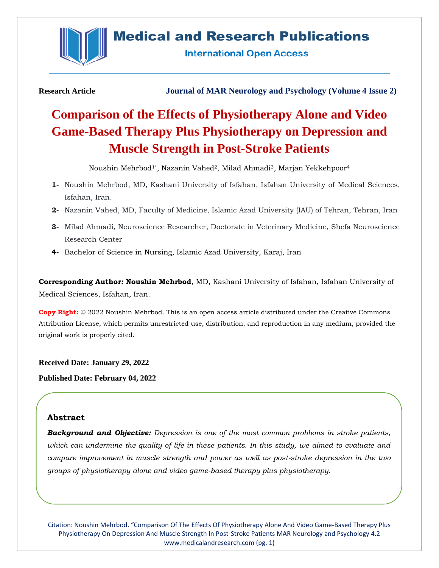

# **Medical and Research Publications**

**International Open Access** 

**Research Article Journal of MAR Neurology and Psychology (Volume 4 Issue 2)**

# **Comparison of the Effects of Physiotherapy Alone and Video Game-Based Therapy Plus Physiotherapy on Depression and Muscle Strength in Post-Stroke Patients**

Noushin Mehrbod<sup>1\*</sup>, Nazanin Vahed<sup>2</sup>, Milad Ahmadi<sup>3</sup>, Marjan Yekkehpoor<sup>4</sup>

- **1-** Noushin Mehrbod, MD, Kashani University of Isfahan, Isfahan University of Medical Sciences, Isfahan, Iran.
- **2-** Nazanin Vahed, MD, Faculty of Medicine, Islamic Azad University (IAU) of Tehran, Tehran, Iran
- **3-** Milad Ahmadi, Neuroscience Researcher, Doctorate in Veterinary Medicine, Shefa Neuroscience Research Center
- **4-** Bachelor of Science in Nursing, Islamic Azad University, Karaj, Iran

**Corresponding Author: Noushin Mehrbod**, MD, Kashani University of Isfahan, Isfahan University of Medical Sciences, Isfahan, Iran.

**Copy Right:** © 2022 Noushin Mehrbod. This is an open access article distributed under the Creative Commons Attribution License, which permits unrestricted use, distribution, and reproduction in any medium, provided the original work is properly cited.

**Received Date: January 29, 2022**

**Published Date: February 04, 2022**

# **Abstract**

*Background and Objective: Depression is one of the most common problems in stroke patients, which can undermine the quality of life in these patients. In this study, we aimed to evaluate and compare improvement in muscle strength and power as well as post-stroke depression in the two groups of physiotherapy alone and video game-based therapy plus physiotherapy.*

Citation: Noushin Mehrbod. "Comparison Of The Effects Of Physiotherapy Alone And Video Game-Based Therapy Plus Physiotherapy On Depression And Muscle Strength In Post-Stroke Patients MAR Neurology and Psychology 4.2 [www.medicalandresearch.com](http://www.medicalandresearch.com/) (pg. 1)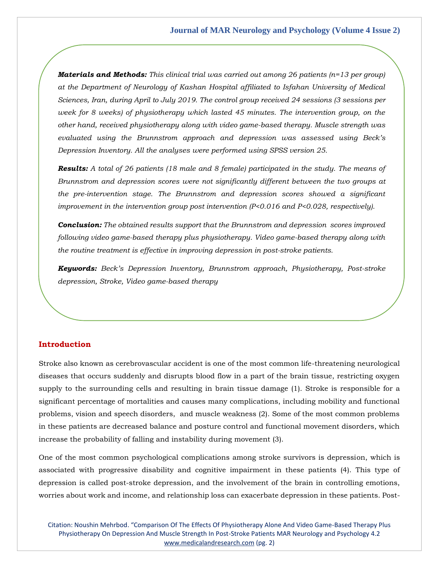*Materials and Methods: This clinical trial was carried out among 26 patients (n=13 per group) at the Department of Neurology of Kashan Hospital affiliated to Isfahan University of Medical Sciences, Iran, during April to July 2019. The control group received 24 sessions (3 sessions per week for 8 weeks) of physiotherapy which lasted 45 minutes. The intervention group, on the other hand, received physiotherapy along with video game-based therapy. Muscle strength was evaluated using the Brunnstrom approach and depression was assessed using Beck's Depression Inventory. All the analyses were performed using SPSS version 25.* 

*Results: A total of 26 patients (18 male and 8 female) participated in the study. The means of Brunnstrom and depression scores were not significantly different between the two groups at the pre-intervention stage. The Brunnstrom and depression scores showed a significant improvement in the intervention group post intervention (P<0.016 and P<0.028, respectively).*

*Conclusion: The obtained results support that the Brunnstrom and depression scores improved following video game-based therapy plus physiotherapy. Video game-based therapy along with the routine treatment is effective in improving depression in post-stroke patients.* 

*Keywords: Beck's Depression Inventory, Brunnstrom approach, Physiotherapy, Post-stroke depression, Stroke, Video game-based therapy*

### **Introduction**

Stroke also known as cerebrovascular accident is one of the most common life-threatening neurological diseases that occurs suddenly and disrupts blood flow in a part of the brain tissue, restricting oxygen supply to the surrounding cells and resulting in brain tissue damage (1). Stroke is responsible for a significant percentage of mortalities and causes many complications, including mobility and functional problems, vision and speech disorders, and muscle weakness (2). Some of the most common problems in these patients are decreased balance and posture control and functional movement disorders, which increase the probability of falling and instability during movement (3).

One of the most common psychological complications among stroke survivors is depression, which is associated with progressive disability and cognitive impairment in these patients (4). This type of depression is called post-stroke depression, and the involvement of the brain in controlling emotions, worries about work and income, and relationship loss can exacerbate depression in these patients. Post-

Citation: Noushin Mehrbod. "Comparison Of The Effects Of Physiotherapy Alone And Video Game-Based Therapy Plus Physiotherapy On Depression And Muscle Strength In Post-Stroke Patients MAR Neurology and Psychology 4.2 [www.medicalandresearch.com](http://www.medicalandresearch.com/) (pg. 2)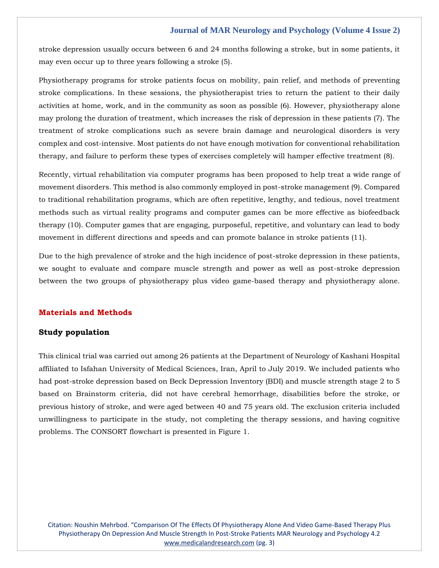stroke depression usually occurs between 6 and 24 months following a stroke, but in some patients, it may even occur up to three years following a stroke (5).

Physiotherapy programs for stroke patients focus on mobility, pain relief, and methods of preventing stroke complications. In these sessions, the physiotherapist tries to return the patient to their daily activities at home, work, and in the community as soon as possible (6). However, physiotherapy alone may prolong the duration of treatment, which increases the risk of depression in these patients (7). The treatment of stroke complications such as severe brain damage and neurological disorders is very complex and cost-intensive. Most patients do not have enough motivation for conventional rehabilitation therapy, and failure to perform these types of exercises completely will hamper effective treatment (8).

Recently, virtual rehabilitation via computer programs has been proposed to help treat a wide range of movement disorders. This method is also commonly employed in post-stroke management (9). Compared to traditional rehabilitation programs, which are often repetitive, lengthy, and tedious, novel treatment methods such as virtual reality programs and computer games can be more effective as biofeedback therapy (10). Computer games that are engaging, purposeful, repetitive, and voluntary can lead to body movement in different directions and speeds and can promote balance in stroke patients (11).

Due to the high prevalence of stroke and the high incidence of post-stroke depression in these patients, we sought to evaluate and compare muscle strength and power as well as post-stroke depression between the two groups of physiotherapy plus video game-based therapy and physiotherapy alone.

# **Materials and Methods**

## **Study population**

This clinical trial was carried out among 26 patients at the Department of Neurology of Kashani Hospital affiliated to Isfahan University of Medical Sciences, Iran, April to July 2019. We included patients who had post-stroke depression based on Beck Depression Inventory (BDI) and muscle strength stage 2 to 5 based on Brainstorm criteria, did not have cerebral hemorrhage, disabilities before the stroke, or previous history of stroke, and were aged between 40 and 75 years old. The exclusion criteria included unwillingness to participate in the study, not completing the therapy sessions, and having cognitive problems. The CONSORT flowchart is presented in Figure 1.

Citation: Noushin Mehrbod. "Comparison Of The Effects Of Physiotherapy Alone And Video Game-Based Therapy Plus Physiotherapy On Depression And Muscle Strength In Post-Stroke Patients MAR Neurology and Psychology 4.2 [www.medicalandresearch.com](http://www.medicalandresearch.com/) (pg. 3)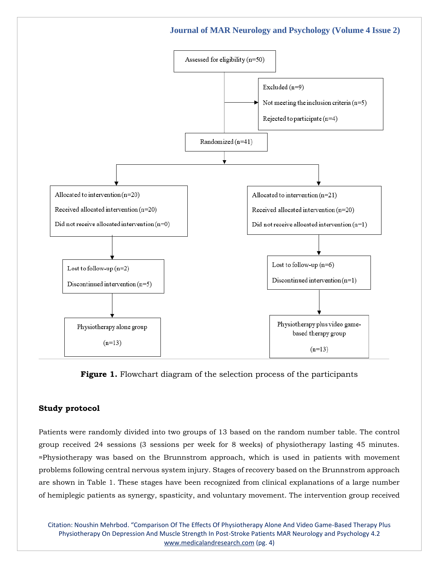

# Figure 1. Flowchart diagram of the selection process of the participants

# **Study protocol**

Patients were randomly divided into two groups of 13 based on the random number table. The control group received 24 sessions (3 sessions per week for 8 weeks) of physiotherapy lasting 45 minutes. ≈Physiotherapy was based on the Brunnstrom approach, which is used in patients with movement problems following central nervous system injury. Stages of recovery based on the Brunnstrom approach are shown in Table 1. These stages have been recognized from clinical explanations of a large number of hemiplegic patients as synergy, spasticity, and voluntary movement. The intervention group received

Citation: Noushin Mehrbod. "Comparison Of The Effects Of Physiotherapy Alone And Video Game-Based Therapy Plus Physiotherapy On Depression And Muscle Strength In Post-Stroke Patients MAR Neurology and Psychology 4.2 [www.medicalandresearch.com](http://www.medicalandresearch.com/) (pg. 4)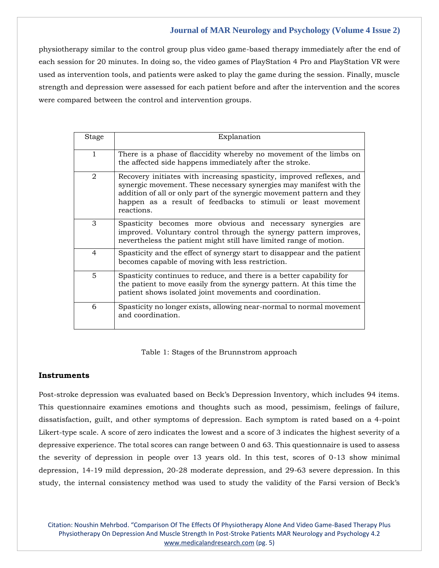physiotherapy similar to the control group plus video game-based therapy immediately after the end of each session for 20 minutes. In doing so, the video games of PlayStation 4 Pro and PlayStation VR were used as intervention tools, and patients were asked to play the game during the session. Finally, muscle strength and depression were assessed for each patient before and after the intervention and the scores were compared between the control and intervention groups.

| <b>Stage</b>   | Explanation                                                                                                                                                                                                                                                                                         |
|----------------|-----------------------------------------------------------------------------------------------------------------------------------------------------------------------------------------------------------------------------------------------------------------------------------------------------|
| 1              | There is a phase of flaccidity whereby no movement of the limbs on<br>the affected side happens immediately after the stroke.                                                                                                                                                                       |
| $\overline{2}$ | Recovery initiates with increasing spasticity, improved reflexes, and<br>synergic movement. These necessary synergies may manifest with the<br>addition of all or only part of the synergic movement pattern and they<br>happen as a result of feedbacks to stimuli or least movement<br>reactions. |
| 3              | Spasticity becomes more obvious and necessary synergies are<br>improved. Voluntary control through the synergy pattern improves,<br>nevertheless the patient might still have limited range of motion.                                                                                              |
| $\overline{4}$ | Spasticity and the effect of synergy start to disappear and the patient<br>becomes capable of moving with less restriction.                                                                                                                                                                         |
| $\overline{5}$ | Spasticity continues to reduce, and there is a better capability for<br>the patient to move easily from the synergy pattern. At this time the<br>patient shows isolated joint movements and coordination.                                                                                           |
| 6              | Spasticity no longer exists, allowing near-normal to normal movement<br>and coordination.                                                                                                                                                                                                           |

Table 1: Stages of the Brunnstrom approach

# **Instruments**

Post-stroke depression was evaluated based on Beck's Depression Inventory, which includes 94 items. This questionnaire examines emotions and thoughts such as mood, pessimism, feelings of failure, dissatisfaction, guilt, and other symptoms of depression. Each symptom is rated based on a 4-point Likert-type scale. A score of zero indicates the lowest and a score of 3 indicates the highest severity of a depressive experience. The total scores can range between 0 and 63. This questionnaire is used to assess the severity of depression in people over 13 years old. In this test, scores of 0-13 show minimal depression, 14-19 mild depression, 20-28 moderate depression, and 29-63 severe depression. In this study, the internal consistency method was used to study the validity of the Farsi version of Beck's

Citation: Noushin Mehrbod. "Comparison Of The Effects Of Physiotherapy Alone And Video Game-Based Therapy Plus Physiotherapy On Depression And Muscle Strength In Post-Stroke Patients MAR Neurology and Psychology 4.2 [www.medicalandresearch.com](http://www.medicalandresearch.com/) (pg. 5)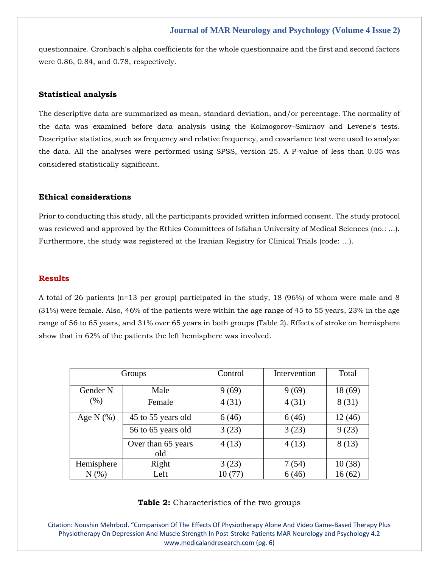questionnaire. Cronbach's alpha coefficients for the whole questionnaire and the first and second factors were 0.86, 0.84, and 0.78, respectively.

# **Statistical analysis**

The descriptive data are summarized as mean, standard deviation, and/or percentage. The normality of the data was examined before data analysis using the Kolmogorov–Smirnov and Levene's tests. Descriptive statistics, such as frequency and relative frequency, and covariance test were used to analyze the data. All the analyses were performed using SPSS, version 25. A P-value of less than 0.05 was considered statistically significant.

# **Ethical considerations**

Prior to conducting this study, all the participants provided written informed consent. The study protocol was reviewed and approved by the Ethics Committees of Isfahan University of Medical Sciences (no.: ...). Furthermore, the study was registered at the Iranian Registry for Clinical Trials (code: …).

#### **Results**

A total of 26 patients (n=13 per group) participated in the study, 18 (96%) of whom were male and 8 (31%) were female. Also, 46% of the patients were within the age range of 45 to 55 years, 23% in the age range of 56 to 65 years, and 31% over 65 years in both groups (Table 2). Effects of stroke on hemisphere show that in 62% of the patients the left hemisphere was involved.

|               | Groups                    | Control | Intervention | Total   |
|---------------|---------------------------|---------|--------------|---------|
| Gender N      | Male                      | 9(69)   | 9(69)        | 18 (69) |
| (% )          | Female                    | 4(31)   | 4(31)        | 8(31)   |
| Age N $(\% )$ | 45 to 55 years old        | 6(46)   | 6(46)        | 12(46)  |
|               | 56 to 65 years old        | 3(23)   | 3(23)        | 9(23)   |
|               | Over than 65 years<br>old | 4(13)   | 4(13)        | 8(13)   |
| Hemisphere    | Right                     | 3(23)   | 7(54)        | 10(38)  |
| $N(\%)$       | Left                      | 10 (77) | 6(46)        | 16(62)  |

### **Table 2:** Characteristics of the two groups

Citation: Noushin Mehrbod. "Comparison Of The Effects Of Physiotherapy Alone And Video Game-Based Therapy Plus Physiotherapy On Depression And Muscle Strength In Post-Stroke Patients MAR Neurology and Psychology 4.2 [www.medicalandresearch.com](http://www.medicalandresearch.com/) (pg. 6)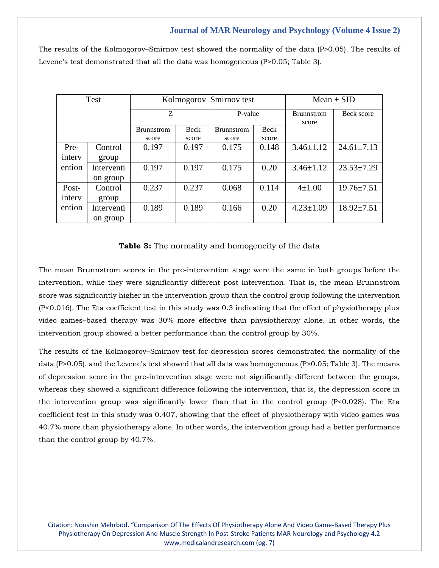The results of the Kolmogorov–Smirnov test showed the normality of the data (P>0.05). The results of Levene's test demonstrated that all the data was homogeneous (P>0.05; Table 3).

| Test   |            | Kolmogorov–Smirnov test |             |                   |       | Mean $\pm$ SID             |                  |
|--------|------------|-------------------------|-------------|-------------------|-------|----------------------------|------------------|
|        |            | Z                       |             | P-value           |       | <b>Brunnstrom</b><br>score | Beck score       |
|        |            | <b>Brunnstrom</b>       | <b>Beck</b> | <b>Brunnstrom</b> | Beck  |                            |                  |
|        |            | score                   | score       | score             | score |                            |                  |
| Pre-   | Control    | 0.197                   | 0.197       | 0.175             | 0.148 | $3.46 \pm 1.12$            | $24.61 \pm 7.13$ |
| intery | group      |                         |             |                   |       |                            |                  |
| ention | Interventi | 0.197                   | 0.197       | 0.175             | 0.20  | $3.46 \pm 1.12$            | $23.53 \pm 7.29$ |
|        | on group   |                         |             |                   |       |                            |                  |
| Post-  | Control    | 0.237                   | 0.237       | 0.068             | 0.114 | $4 \pm 1.00$               | $19.76 \pm 7.51$ |
| intery | group      |                         |             |                   |       |                            |                  |
| ention | Interventi | 0.189                   | 0.189       | 0.166             | 0.20  | $4.23 \pm 1.09$            | $18.92 \pm 7.51$ |
|        | on group   |                         |             |                   |       |                            |                  |

**Table 3:** The normality and homogeneity of the data

The mean Brunnstrom scores in the pre-intervention stage were the same in both groups before the intervention, while they were significantly different post intervention. That is, the mean Brunnstrom score was significantly higher in the intervention group than the control group following the intervention (P<0.016). The Eta coefficient test in this study was 0.3 indicating that the effect of physiotherapy plus video games–based therapy was 30% more effective than physiotherapy alone. In other words, the intervention group showed a better performance than the control group by 30%.

The results of the Kolmogorov–Smirnov test for depression scores demonstrated the normality of the data (P>0.05), and the Levene's test showed that all data was homogeneous (P>0.05; Table 3). The means of depression score in the pre-intervention stage were not significantly different between the groups, whereas they showed a significant difference following the intervention, that is, the depression score in the intervention group was significantly lower than that in the control group (P<0.028). The Eta coefficient test in this study was 0.407, showing that the effect of physiotherapy with video games was 40.7% more than physiotherapy alone. In other words, the intervention group had a better performance than the control group by 40.7%.

Citation: Noushin Mehrbod. "Comparison Of The Effects Of Physiotherapy Alone And Video Game-Based Therapy Plus Physiotherapy On Depression And Muscle Strength In Post-Stroke Patients MAR Neurology and Psychology 4.2 [www.medicalandresearch.com](http://www.medicalandresearch.com/) (pg. 7)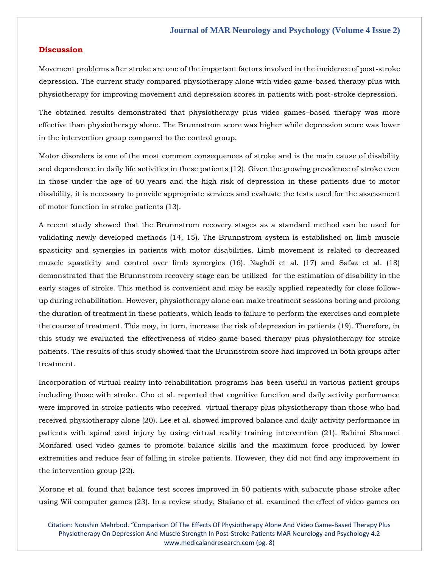# **Discussion**

Movement problems after stroke are one of the important factors involved in the incidence of post-stroke depression. The current study compared physiotherapy alone with video game-based therapy plus with physiotherapy for improving movement and depression scores in patients with post-stroke depression.

The obtained results demonstrated that physiotherapy plus video games–based therapy was more effective than physiotherapy alone. The Brunnstrom score was higher while depression score was lower in the intervention group compared to the control group.

Motor disorders is one of the most common consequences of stroke and is the main cause of disability and dependence in daily life activities in these patients (12). Given the growing prevalence of stroke even in those under the age of 60 years and the high risk of depression in these patients due to motor disability, it is necessary to provide appropriate services and evaluate the tests used for the assessment of motor function in stroke patients (13).

A recent study showed that the Brunnstrom recovery stages as a standard method can be used for validating newly developed methods (14, 15). The Brunnstrom system is established on limb muscle spasticity and synergies in patients with motor disabilities. Limb movement is related to decreased muscle spasticity and control over limb synergies (16). Naghdi et al. (17) and Safaz et al. (18) demonstrated that the Brunnstrom recovery stage can be utilized for the estimation of disability in the early stages of stroke. This method is convenient and may be easily applied repeatedly for close followup during rehabilitation. However, physiotherapy alone can make treatment sessions boring and prolong the duration of treatment in these patients, which leads to failure to perform the exercises and complete the course of treatment. This may, in turn, increase the risk of depression in patients (19). Therefore, in this study we evaluated the effectiveness of video game-based therapy plus physiotherapy for stroke patients. The results of this study showed that the Brunnstrom score had improved in both groups after treatment.

Incorporation of virtual reality into rehabilitation programs has been useful in various patient groups including those with stroke. Cho et al. reported that cognitive function and daily activity performance were improved in stroke patients who received virtual therapy plus physiotherapy than those who had received physiotherapy alone (20). Lee et al. showed improved balance and daily activity performance in patients with spinal cord injury by using virtual reality training intervention (21). Rahimi Shamaei Monfared used video games to promote balance skills and the maximum force produced by lower extremities and reduce fear of falling in stroke patients. However, they did not find any improvement in the intervention group (22).

Morone et al. found that balance test scores improved in 50 patients with subacute phase stroke after using Wii computer games (23). In a review study, Staiano et al. examined the effect of video games on

Citation: Noushin Mehrbod. "Comparison Of The Effects Of Physiotherapy Alone And Video Game-Based Therapy Plus Physiotherapy On Depression And Muscle Strength In Post-Stroke Patients MAR Neurology and Psychology 4.2 [www.medicalandresearch.com](http://www.medicalandresearch.com/) (pg. 8)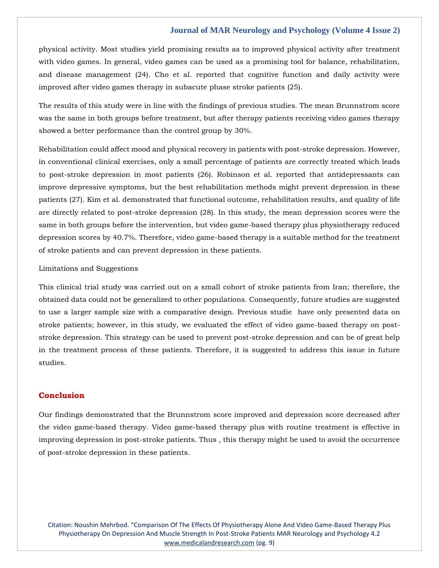physical activity. Most studies yield promising results as to improved physical activity after treatment with video games. In general, video games can be used as a promising tool for balance, rehabilitation, and disease management (24). Cho et al. reported that cognitive function and daily activity were improved after video games therapy in subacute phase stroke patients (25).

The results of this study were in line with the findings of previous studies. The mean Brunnstrom score was the same in both groups before treatment, but after therapy patients receiving video games therapy showed a better performance than the control group by 30%.

Rehabilitation could affect mood and physical recovery in patients with post-stroke depression. However, in conventional clinical exercises, only a small percentage of patients are correctly treated which leads to post-stroke depression in most patients (26). Robinson et al. reported that antidepressants can improve depressive symptoms, but the best rehabilitation methods might prevent depression in these patients (27). Kim et al. demonstrated that functional outcome, rehabilitation results, and quality of life are directly related to post-stroke depression (28). In this study, the mean depression scores were the same in both groups before the intervention, but video game-based therapy plus physiotherapy reduced depression scores by 40.7%. Therefore, video game-based therapy is a suitable method for the treatment of stroke patients and can prevent depression in these patients.

## Limitations and Suggestions

This clinical trial study was carried out on a small cohort of stroke patients from Iran; therefore, the obtained data could not be generalized to other populations. Consequently, future studies are suggested to use a larger sample size with a comparative design. Previous studie have only presented data on stroke patients; however, in this study, we evaluated the effect of video game-based therapy on poststroke depression. This strategy can be used to prevent post-stroke depression and can be of great help in the treatment process of these patients. Therefore, it is suggested to address this issue in future studies.

# **Conclusion**

Our findings demonstrated that the Brunnstrom score improved and depression score decreased after the video game-based therapy. Video game-based therapy plus with routine treatment is effective in improving depression in post-stroke patients. Thus , this therapy might be used to avoid the occurrence of post-stroke depression in these patients.

Citation: Noushin Mehrbod. "Comparison Of The Effects Of Physiotherapy Alone And Video Game-Based Therapy Plus Physiotherapy On Depression And Muscle Strength In Post-Stroke Patients MAR Neurology and Psychology 4.2 [www.medicalandresearch.com](http://www.medicalandresearch.com/) (pg. 9)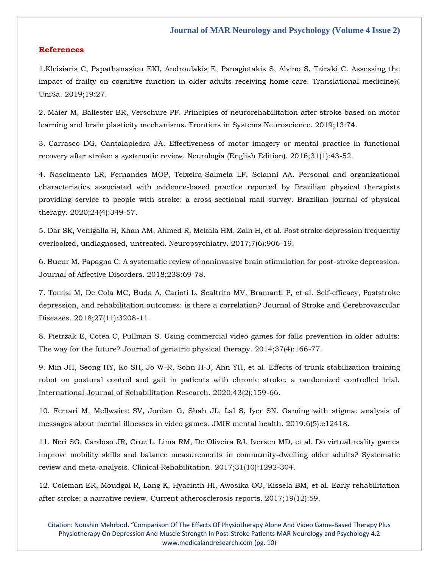## **References**

1.Kleisiaris C, Papathanasiou EKI, [Androulakis E, Panagiotakis S, Alvino S, Tziraki C. Assessing the](https://www.google.com/search?q=Assessing+the+impact+of+frailty+on+cognitive+function+in+older+adults+receiving+home+care&sxsrf=APq-WBucH5FBrRe9J6J2duz3RudW6UaxCw%3A1643622902220&ei=9rH3Ydv-DMWfseMP3uyKgAM&ved=0ahUKEwjb0ey53Nv1AhXFT2wGHV62AjAQ4dUDCA4&oq=Assessing+the+impact+of+frailty+on+cognitive+function+in+older+adults+receiving+home+care&gs_lcp=Cgdnd3Mtd2l6EAw6BwgjEOoCECdKBAhBGABKBAhGGABQ4QFY4QFgowhoAXACeACAAWKIAWKSAQExmAEAoAEBoAECsAEKwAEB&sclient=gws-wiz)  impact of frailty on cognitive function in older adults receiving home care. Translational medicine  $\hat{a}$ [UniSa. 2019;19:27.](https://www.google.com/search?q=Assessing+the+impact+of+frailty+on+cognitive+function+in+older+adults+receiving+home+care&sxsrf=APq-WBucH5FBrRe9J6J2duz3RudW6UaxCw%3A1643622902220&ei=9rH3Ydv-DMWfseMP3uyKgAM&ved=0ahUKEwjb0ey53Nv1AhXFT2wGHV62AjAQ4dUDCA4&oq=Assessing+the+impact+of+frailty+on+cognitive+function+in+older+adults+receiving+home+care&gs_lcp=Cgdnd3Mtd2l6EAw6BwgjEOoCECdKBAhBGABKBAhGGABQ4QFY4QFgowhoAXACeACAAWKIAWKSAQExmAEAoAEBoAECsAEKwAEB&sclient=gws-wiz)

2. [Maier M, Ballester BR, Verschure PF. Principles of neurorehabilitation after stroke based on motor](https://www.google.com/search?q=Principles+of+neurorehabilitation+after+stroke+based+on+motor+learning+and+brain+plasticity+mechanisms&sxsrf=APq-WBsF3mrWmfUa_G3j6XvJk2aAl9MyVA%3A1643622881430&ei=4bH3YfmwGb-WseMP6N-xcA&ved=0ahUKEwi5pfev3Nv1AhU_S2wGHehvDA4Q4dUDCA4&oq=Principles+of+neurorehabilitation+after+stroke+based+on+motor+learning+and+brain+plasticity+mechanisms&gs_lcp=Cgdnd3Mtd2l6EAwyBwgjEOoCECcyBwgjEOoCECcyBwgjEOoCECcyBwgjEOoCECcyBwgjEOoCECcyBwgjEOoCECcyBwgjEOoCECcyBwgjEOoCECcyBwgjEOoCECcyBwgjEOoCECdKBAhBGABKBAhGGABQmghYmghgqgxoAXACeACAAQCIAQCSAQCYAQCgAQGgAQKwAQrAAQE&sclient=gws-wiz)  [learning and brain plasticity mechanisms. Frontiers in Systems Neuroscience. 2019;13:74.](https://www.google.com/search?q=Principles+of+neurorehabilitation+after+stroke+based+on+motor+learning+and+brain+plasticity+mechanisms&sxsrf=APq-WBsF3mrWmfUa_G3j6XvJk2aAl9MyVA%3A1643622881430&ei=4bH3YfmwGb-WseMP6N-xcA&ved=0ahUKEwi5pfev3Nv1AhU_S2wGHehvDA4Q4dUDCA4&oq=Principles+of+neurorehabilitation+after+stroke+based+on+motor+learning+and+brain+plasticity+mechanisms&gs_lcp=Cgdnd3Mtd2l6EAwyBwgjEOoCECcyBwgjEOoCECcyBwgjEOoCECcyBwgjEOoCECcyBwgjEOoCECcyBwgjEOoCECcyBwgjEOoCECcyBwgjEOoCECcyBwgjEOoCECcyBwgjEOoCECdKBAhBGABKBAhGGABQmghYmghgqgxoAXACeACAAQCIAQCSAQCYAQCgAQGgAQKwAQrAAQE&sclient=gws-wiz)

3. [Carrasco DG, Cantalapiedra JA. Effectiveness of motor imagery or mental practice in functional](https://www.google.com/search?q=Effectiveness+of+motor+imagery+or+mental+practice+in+functional+recovery+after+stroke%3A+a+systematic+review&sxsrf=APq-WBuEzvq60Qk9-ZqoUTD7aJlv8dM7GQ%3A1643622849142&ei=wbH3YaPWB8eUseMPxP68mAY&ved=0ahUKEwjjusSg3Nv1AhVHSmwGHUQ_D2MQ4dUDCA4&oq=Effectiveness+of+motor+imagery+or+mental+practice+in+functional+recovery+after+stroke%3A+a+systematic+review&gs_lcp=Cgdnd3Mtd2l6EAwyBwgjEOoCECcyBwgjEOoCECcyBwgjEOoCECcyBwgjEOoCECcyBwgjEOoCECcyBwgjEOoCECcyBwgjEOoCECcyBwgjEOoCECcyBwgjEOoCECcyBwgjEOoCECdKBAhBGABKBAhGGABQywNYywNghwpoAXAAeACAAQCIAQCSAQCYAQCgAQGgAQKwAQrAAQE&sclient=gws-wiz)  [recovery after stroke: a systematic review. Neurología \(English Edition\). 2016;31\(1\):43-52.](https://www.google.com/search?q=Effectiveness+of+motor+imagery+or+mental+practice+in+functional+recovery+after+stroke%3A+a+systematic+review&sxsrf=APq-WBuEzvq60Qk9-ZqoUTD7aJlv8dM7GQ%3A1643622849142&ei=wbH3YaPWB8eUseMPxP68mAY&ved=0ahUKEwjjusSg3Nv1AhVHSmwGHUQ_D2MQ4dUDCA4&oq=Effectiveness+of+motor+imagery+or+mental+practice+in+functional+recovery+after+stroke%3A+a+systematic+review&gs_lcp=Cgdnd3Mtd2l6EAwyBwgjEOoCECcyBwgjEOoCECcyBwgjEOoCECcyBwgjEOoCECcyBwgjEOoCECcyBwgjEOoCECcyBwgjEOoCECcyBwgjEOoCECcyBwgjEOoCECcyBwgjEOoCECdKBAhBGABKBAhGGABQywNYywNghwpoAXAAeACAAQCIAQCSAQCYAQCgAQGgAQKwAQrAAQE&sclient=gws-wiz)

4. [Nascimento LR, Fernandes MOP, Teixeira-Salmela LF, Scianni AA. Personal and organizational](https://www.google.com/search?q=Personal+and+organizational+characteristics+associated+with+evidence-based+practice+reported+by+Brazilian+physical+therapists+providing+service+to+people+with+stroke%3A+a+cross-sectional+mail+survey&sxsrf=APq-WBvcASg81dLTZtrC8f8E30Z8JNZe8w%3A1643622809083&ei=mbH3YaTMBNCeseMPwPWIgAc&ved=0ahUKEwjk_LeN3Nv1AhVQT2wGHcA6AnAQ4dUDCA4&oq=Personal+and+organizational+characteristics+associated+with+evidence-based+practice+reported+by+Brazilian+physical+therapists+providing+service+to+people+with+stroke%3A+a+cross-sectional+mail+survey&gs_lcp=Cgdnd3Mtd2l6EAwyBwgjEOoCECcyBwgjEOoCECcyBwgjEOoCECcyBwgjEOoCECcyBwgjEOoCECcyBwgjEOoCECcyBwgjEOoCECcyBwgjEOoCECcyBwgjEOoCECcyBwgjEOoCECdKBAhBGABKBAhGGABQsQdYsQdgvg1oAXACeACAAQCIAQCSAQCYAQCgAQGgAQKwAQrAAQE&sclient=gws-wiz)  [characteristics associated with evidence-based practice reported by Brazilian physical therapists](https://www.google.com/search?q=Personal+and+organizational+characteristics+associated+with+evidence-based+practice+reported+by+Brazilian+physical+therapists+providing+service+to+people+with+stroke%3A+a+cross-sectional+mail+survey&sxsrf=APq-WBvcASg81dLTZtrC8f8E30Z8JNZe8w%3A1643622809083&ei=mbH3YaTMBNCeseMPwPWIgAc&ved=0ahUKEwjk_LeN3Nv1AhVQT2wGHcA6AnAQ4dUDCA4&oq=Personal+and+organizational+characteristics+associated+with+evidence-based+practice+reported+by+Brazilian+physical+therapists+providing+service+to+people+with+stroke%3A+a+cross-sectional+mail+survey&gs_lcp=Cgdnd3Mtd2l6EAwyBwgjEOoCECcyBwgjEOoCECcyBwgjEOoCECcyBwgjEOoCECcyBwgjEOoCECcyBwgjEOoCECcyBwgjEOoCECcyBwgjEOoCECcyBwgjEOoCECcyBwgjEOoCECdKBAhBGABKBAhGGABQsQdYsQdgvg1oAXACeACAAQCIAQCSAQCYAQCgAQGgAQKwAQrAAQE&sclient=gws-wiz)  [providing service to people with stroke: a cross-sectional mail survey. Brazilian journal of physical](https://www.google.com/search?q=Personal+and+organizational+characteristics+associated+with+evidence-based+practice+reported+by+Brazilian+physical+therapists+providing+service+to+people+with+stroke%3A+a+cross-sectional+mail+survey&sxsrf=APq-WBvcASg81dLTZtrC8f8E30Z8JNZe8w%3A1643622809083&ei=mbH3YaTMBNCeseMPwPWIgAc&ved=0ahUKEwjk_LeN3Nv1AhVQT2wGHcA6AnAQ4dUDCA4&oq=Personal+and+organizational+characteristics+associated+with+evidence-based+practice+reported+by+Brazilian+physical+therapists+providing+service+to+people+with+stroke%3A+a+cross-sectional+mail+survey&gs_lcp=Cgdnd3Mtd2l6EAwyBwgjEOoCECcyBwgjEOoCECcyBwgjEOoCECcyBwgjEOoCECcyBwgjEOoCECcyBwgjEOoCECcyBwgjEOoCECcyBwgjEOoCECcyBwgjEOoCECcyBwgjEOoCECdKBAhBGABKBAhGGABQsQdYsQdgvg1oAXACeACAAQCIAQCSAQCYAQCgAQGgAQKwAQrAAQE&sclient=gws-wiz)  [therapy. 2020;24\(4\):349-57.](https://www.google.com/search?q=Personal+and+organizational+characteristics+associated+with+evidence-based+practice+reported+by+Brazilian+physical+therapists+providing+service+to+people+with+stroke%3A+a+cross-sectional+mail+survey&sxsrf=APq-WBvcASg81dLTZtrC8f8E30Z8JNZe8w%3A1643622809083&ei=mbH3YaTMBNCeseMPwPWIgAc&ved=0ahUKEwjk_LeN3Nv1AhVQT2wGHcA6AnAQ4dUDCA4&oq=Personal+and+organizational+characteristics+associated+with+evidence-based+practice+reported+by+Brazilian+physical+therapists+providing+service+to+people+with+stroke%3A+a+cross-sectional+mail+survey&gs_lcp=Cgdnd3Mtd2l6EAwyBwgjEOoCECcyBwgjEOoCECcyBwgjEOoCECcyBwgjEOoCECcyBwgjEOoCECcyBwgjEOoCECcyBwgjEOoCECcyBwgjEOoCECcyBwgjEOoCECcyBwgjEOoCECdKBAhBGABKBAhGGABQsQdYsQdgvg1oAXACeACAAQCIAQCSAQCYAQCgAQGgAQKwAQrAAQE&sclient=gws-wiz)

5. [Dar SK, Venigalla H, Khan AM, Ahmed R, Mekala HM, Zain H, et al. Post stroke depression frequently](https://www.google.com/search?q=Post+stroke+depression+frequently+overlooked%2C+undiagnosed%2C+untreated.+Neuropsychiatry&sxsrf=APq-WBuxpnw5O5jLFflsEFLxOiSnWManEw%3A1643622732450&ei=TLH3YYThGpCcseMPwZ2foAI&ved=0ahUKEwiEt_Lo29v1AhUQTmwGHcHOByQQ4dUDCA4&oq=Post+stroke+depression+frequently+overlooked%2C+undiagnosed%2C+untreated.+Neuropsychiatry&gs_lcp=Cgdnd3Mtd2l6EAw6BwgjEOoCECdKBAhBGABKBAhGGABQ5AdY5AdgvQtoAXAAeACAAXWIAXWSAQMwLjGYAQCgAQGgAQKwAQrAAQE&sclient=gws-wiz)  [overlooked, undiagnosed, untreated. Neuropsychiatry. 2017;7\(6\):906-19.](https://www.google.com/search?q=Post+stroke+depression+frequently+overlooked%2C+undiagnosed%2C+untreated.+Neuropsychiatry&sxsrf=APq-WBuxpnw5O5jLFflsEFLxOiSnWManEw%3A1643622732450&ei=TLH3YYThGpCcseMPwZ2foAI&ved=0ahUKEwiEt_Lo29v1AhUQTmwGHcHOByQQ4dUDCA4&oq=Post+stroke+depression+frequently+overlooked%2C+undiagnosed%2C+untreated.+Neuropsychiatry&gs_lcp=Cgdnd3Mtd2l6EAw6BwgjEOoCECdKBAhBGABKBAhGGABQ5AdY5AdgvQtoAXAAeACAAXWIAXWSAQMwLjGYAQCgAQGgAQKwAQrAAQE&sclient=gws-wiz)

[6. Bucur M, Papagno C. A systematic review of noninvasive brain stimulation for post-stroke depression.](https://www.google.com/search?q=A+systematic+review+of+noninvasive+brain+stimulation+for+post-stroke+depression.+Journal+of+Affective+Disorders&sxsrf=APq-WBsgXwrT_Ea4DDW77SJF-keL8b2i_A%3A1643622696932&ei=KLH3YYy7OIWRseMPu5KOqAw&ved=0ahUKEwiM7_rX29v1AhWFSGwGHTuJA8UQ4dUDCA4&oq=A+systematic+review+of+noninvasive+brain+stimulation+for+post-stroke+depression.+Journal+of+Affective+Disorders&gs_lcp=Cgdnd3Mtd2l6EAwyBwgjEOoCECcyBwgjEOoCECcyBwgjEOoCECcyBwgjEOoCECcyBwgjEOoCECcyBwgjEOoCECcyBwgjEOoCECcyBwgjEOoCECcyBwgjEOoCECcyBwgjEOoCECdKBAhBGABKBAhGGABQoQRYoQRgowtoAXAAeACAAQCIAQCSAQCYAQCgAQGgAQKwAQrAAQE&sclient=gws-wiz)  [Journal of Affective Disorders. 2018;238:69-78.](https://www.google.com/search?q=A+systematic+review+of+noninvasive+brain+stimulation+for+post-stroke+depression.+Journal+of+Affective+Disorders&sxsrf=APq-WBsgXwrT_Ea4DDW77SJF-keL8b2i_A%3A1643622696932&ei=KLH3YYy7OIWRseMPu5KOqAw&ved=0ahUKEwiM7_rX29v1AhWFSGwGHTuJA8UQ4dUDCA4&oq=A+systematic+review+of+noninvasive+brain+stimulation+for+post-stroke+depression.+Journal+of+Affective+Disorders&gs_lcp=Cgdnd3Mtd2l6EAwyBwgjEOoCECcyBwgjEOoCECcyBwgjEOoCECcyBwgjEOoCECcyBwgjEOoCECcyBwgjEOoCECcyBwgjEOoCECcyBwgjEOoCECcyBwgjEOoCECcyBwgjEOoCECdKBAhBGABKBAhGGABQoQRYoQRgowtoAXAAeACAAQCIAQCSAQCYAQCgAQGgAQKwAQrAAQE&sclient=gws-wiz)

[7. Torrisi M, De Cola MC, Buda A, Carioti L, Scaltrito MV, Bramanti P, et al. Self-efficacy, Poststroke](https://www.google.com/search?q=Self-efficacy%2C+Poststroke+depression%2C+and+rehabilitation+outcomes%3A+is+there+a+correlation%3F+Journal+of+Stroke+and+Cerebrovascular+Diseases&sxsrf=APq-WBvf6nYPTAA8dfZY7-ib-npbuZi8JA%3A1643622604407&ei=zLD3YbO0GPGdseMPwc-B0AQ&ved=0ahUKEwizyuur29v1AhXxTmwGHcFnAEoQ4dUDCA4&oq=Self-efficacy%2C+Poststroke+depression%2C+and+rehabilitation+outcomes%3A+is+there+a+correlation%3F+Journal+of+Stroke+and+Cerebrovascular+Diseases&gs_lcp=Cgdnd3Mtd2l6EAwyBwgjEOoCECcyBwgjEOoCECcyBwgjEOoCECcyBwgjEOoCECcyBwgjEOoCECcyBwgjEOoCECcyBwgjEOoCECcyBwgjEOoCECcyBwgjEOoCECcyBwgjEOoCECdKBAhBGABKBAhGGABQwwdYwwdg8A1oAXAAeACAAQCIAQCSAQCYAQCgAQGgAQKwAQrAAQE&sclient=gws-wiz)  [depression, and rehabilitation outcomes: is there a correlation? Journal of Stroke and Cerebrovascular](https://www.google.com/search?q=Self-efficacy%2C+Poststroke+depression%2C+and+rehabilitation+outcomes%3A+is+there+a+correlation%3F+Journal+of+Stroke+and+Cerebrovascular+Diseases&sxsrf=APq-WBvf6nYPTAA8dfZY7-ib-npbuZi8JA%3A1643622604407&ei=zLD3YbO0GPGdseMPwc-B0AQ&ved=0ahUKEwizyuur29v1AhXxTmwGHcFnAEoQ4dUDCA4&oq=Self-efficacy%2C+Poststroke+depression%2C+and+rehabilitation+outcomes%3A+is+there+a+correlation%3F+Journal+of+Stroke+and+Cerebrovascular+Diseases&gs_lcp=Cgdnd3Mtd2l6EAwyBwgjEOoCECcyBwgjEOoCECcyBwgjEOoCECcyBwgjEOoCECcyBwgjEOoCECcyBwgjEOoCECcyBwgjEOoCECcyBwgjEOoCECcyBwgjEOoCECcyBwgjEOoCECdKBAhBGABKBAhGGABQwwdYwwdg8A1oAXAAeACAAQCIAQCSAQCYAQCgAQGgAQKwAQrAAQE&sclient=gws-wiz)  [Diseases. 2018;27\(11\):3208-11.](https://www.google.com/search?q=Self-efficacy%2C+Poststroke+depression%2C+and+rehabilitation+outcomes%3A+is+there+a+correlation%3F+Journal+of+Stroke+and+Cerebrovascular+Diseases&sxsrf=APq-WBvf6nYPTAA8dfZY7-ib-npbuZi8JA%3A1643622604407&ei=zLD3YbO0GPGdseMPwc-B0AQ&ved=0ahUKEwizyuur29v1AhXxTmwGHcFnAEoQ4dUDCA4&oq=Self-efficacy%2C+Poststroke+depression%2C+and+rehabilitation+outcomes%3A+is+there+a+correlation%3F+Journal+of+Stroke+and+Cerebrovascular+Diseases&gs_lcp=Cgdnd3Mtd2l6EAwyBwgjEOoCECcyBwgjEOoCECcyBwgjEOoCECcyBwgjEOoCECcyBwgjEOoCECcyBwgjEOoCECcyBwgjEOoCECcyBwgjEOoCECcyBwgjEOoCECcyBwgjEOoCECdKBAhBGABKBAhGGABQwwdYwwdg8A1oAXAAeACAAQCIAQCSAQCYAQCgAQGgAQKwAQrAAQE&sclient=gws-wiz)

[8. Pietrzak E, Cotea C, Pullman S. Using commercial video games for falls prevention in older adults:](https://www.google.com/search?q=Using+commercial+video+games+for+falls+prevention+in+older+adults%3A+The+way+for+the+future%3F+Journal+of+geriatric+physical+therapy&sxsrf=APq-WBvf6nYPTAA8dfZY7-ib-npbuZi8JA%3A1643622604407&ei=zLD3YbO0GPGdseMPwc-B0AQ&ved=0ahUKEwizyuur29v1AhXxTmwGHcFnAEoQ4dUDCA4&oq=Using+commercial+video+games+for+falls+prevention+in+older+adults%3A+The+way+for+the+future%3F+Journal+of+geriatric+physical+therapy&gs_lcp=Cgdnd3Mtd2l6EAxKBAhBGABKBAhGGABQAFgAYABoAHAAeACAAQCIAQCSAQCYAQA&sclient=gws-wiz)  [The way for the future? Journal of geriatric physical therapy. 2014;37\(4\):166-77.](https://www.google.com/search?q=Using+commercial+video+games+for+falls+prevention+in+older+adults%3A+The+way+for+the+future%3F+Journal+of+geriatric+physical+therapy&sxsrf=APq-WBvf6nYPTAA8dfZY7-ib-npbuZi8JA%3A1643622604407&ei=zLD3YbO0GPGdseMPwc-B0AQ&ved=0ahUKEwizyuur29v1AhXxTmwGHcFnAEoQ4dUDCA4&oq=Using+commercial+video+games+for+falls+prevention+in+older+adults%3A+The+way+for+the+future%3F+Journal+of+geriatric+physical+therapy&gs_lcp=Cgdnd3Mtd2l6EAxKBAhBGABKBAhGGABQAFgAYABoAHAAeACAAQCIAQCSAQCYAQA&sclient=gws-wiz)

[9. Min JH, Seong HY, Ko SH, Jo W-R, Sohn H-J, Ahn YH, et al. Effects of trunk stabilization training](https://www.google.com/search?q=Gaming+with+stigma%3A+analysis+of+messages+about+mental+illnesses+in+video+games&sxsrf=APq-WBsIcP4rlqnFTu3S6rhQqqjpUB16PA%3A1643622452084&ei=NLD3YbDVBK6bseMPnd218AY&ved=0ahUKEwiwv5rj2tv1AhWuTWwGHZ1uDW4Q4dUDCA4&oq=Gaming+with+stigma%3A+analysis+of+messages+about+mental+illnesses+in+video+games&gs_lcp=Cgdnd3Mtd2l6EAwyBQgAEIAEOgcIIxDqAhAnSgQIQRgASgQIRhgAUNsEWNsEYM4KaAFwAngAgAHeA4gB3gOSAQM0LTGYAQCgAQGgAQKwAQrAAQE&sclient=gws-wiz)  [robot on postural control and gait in patients with chronic stroke: a randomized controlled trial.](https://www.google.com/search?q=Gaming+with+stigma%3A+analysis+of+messages+about+mental+illnesses+in+video+games&sxsrf=APq-WBsIcP4rlqnFTu3S6rhQqqjpUB16PA%3A1643622452084&ei=NLD3YbDVBK6bseMPnd218AY&ved=0ahUKEwiwv5rj2tv1AhWuTWwGHZ1uDW4Q4dUDCA4&oq=Gaming+with+stigma%3A+analysis+of+messages+about+mental+illnesses+in+video+games&gs_lcp=Cgdnd3Mtd2l6EAwyBQgAEIAEOgcIIxDqAhAnSgQIQRgASgQIRhgAUNsEWNsEYM4KaAFwAngAgAHeA4gB3gOSAQM0LTGYAQCgAQGgAQKwAQrAAQE&sclient=gws-wiz)  [International Journal of Rehabilitation Research. 2020;43\(2\):159-66.](https://www.google.com/search?q=Gaming+with+stigma%3A+analysis+of+messages+about+mental+illnesses+in+video+games&sxsrf=APq-WBsIcP4rlqnFTu3S6rhQqqjpUB16PA%3A1643622452084&ei=NLD3YbDVBK6bseMPnd218AY&ved=0ahUKEwiwv5rj2tv1AhWuTWwGHZ1uDW4Q4dUDCA4&oq=Gaming+with+stigma%3A+analysis+of+messages+about+mental+illnesses+in+video+games&gs_lcp=Cgdnd3Mtd2l6EAwyBQgAEIAEOgcIIxDqAhAnSgQIQRgASgQIRhgAUNsEWNsEYM4KaAFwAngAgAHeA4gB3gOSAQM0LTGYAQCgAQGgAQKwAQrAAQE&sclient=gws-wiz)

10. [Ferrari M, McIlwaine SV, Jordan G, Shah JL, Lal S, Iyer SN. Gaming with stigma: analysis of](https://www.google.com/search?q=Gaming+with+stigma%3A+analysis+of+messages+about+mental+illnesses+in+video+games&sxsrf=APq-WBsIcP4rlqnFTu3S6rhQqqjpUB16PA%3A1643622452084&ei=NLD3YbDVBK6bseMPnd218AY&ved=0ahUKEwiwv5rj2tv1AhWuTWwGHZ1uDW4Q4dUDCA4&oq=Gaming+with+stigma%3A+analysis+of+messages+about+mental+illnesses+in+video+games&gs_lcp=Cgdnd3Mtd2l6EAwyBQgAEIAEOgcIIxDqAhAnSgQIQRgASgQIRhgAUNsEWNsEYM4KaAFwAngAgAHeA4gB3gOSAQM0LTGYAQCgAQGgAQKwAQrAAQE&sclient=gws-wiz)  messages about [mental illnesses in video games. JMIR mental health. 2019;6\(5\):e12418.](https://www.google.com/search?q=Gaming+with+stigma%3A+analysis+of+messages+about+mental+illnesses+in+video+games&sxsrf=APq-WBsIcP4rlqnFTu3S6rhQqqjpUB16PA%3A1643622452084&ei=NLD3YbDVBK6bseMPnd218AY&ved=0ahUKEwiwv5rj2tv1AhWuTWwGHZ1uDW4Q4dUDCA4&oq=Gaming+with+stigma%3A+analysis+of+messages+about+mental+illnesses+in+video+games&gs_lcp=Cgdnd3Mtd2l6EAwyBQgAEIAEOgcIIxDqAhAnSgQIQRgASgQIRhgAUNsEWNsEYM4KaAFwAngAgAHeA4gB3gOSAQM0LTGYAQCgAQGgAQKwAQrAAQE&sclient=gws-wiz)

[11. Neri SG, Cardoso JR, Cruz L, Lima RM, De Oliveira RJ, Iversen MD, et al. Do virtual reality games](https://www.google.com/search?q=Do+virtual+reality+games+improve+mobility+skills+and+balance+measurements+in+community-dwelling+older+adults%3F+Systematic+review+and+meta-analysis&sxsrf=APq-WBu1Jcowi8KUsSy4w7ljhJi73Qpf3A%3A1643622345759&ei=ya_3YZnHLaKSseMPs5a24A4&ved=0ahUKEwjZz8Cw2tv1AhUiSWwGHTOLDewQ4dUDCA4&oq=Do+virtual+reality+games+improve+mobility+skills+and+balance+measurements+in+community-dwelling+older+adults%3F+Systematic+review+and+meta-analysis&gs_lcp=Cgdnd3Mtd2l6EAwyBwgjEOoCECcyBwgjEOoCECcyBwgjEOoCECcyBwgjEOoCECcyBwgjEOoCECcyBwgjEOoCECcyBwgjEOoCECcyBwgjEOoCECcyBwgjEOoCECcyBwgjEOoCECdKBAhBGABKBAhGGABQxwhYxwhghgxoAXACeACAAQCIAQCSAQCYAQCgAQGgAQKwAQrAAQE&sclient=gws-wiz)  [improve mobility skills and balance measurements in community-dwelling older adults? Systematic](https://www.google.com/search?q=Do+virtual+reality+games+improve+mobility+skills+and+balance+measurements+in+community-dwelling+older+adults%3F+Systematic+review+and+meta-analysis&sxsrf=APq-WBu1Jcowi8KUsSy4w7ljhJi73Qpf3A%3A1643622345759&ei=ya_3YZnHLaKSseMPs5a24A4&ved=0ahUKEwjZz8Cw2tv1AhUiSWwGHTOLDewQ4dUDCA4&oq=Do+virtual+reality+games+improve+mobility+skills+and+balance+measurements+in+community-dwelling+older+adults%3F+Systematic+review+and+meta-analysis&gs_lcp=Cgdnd3Mtd2l6EAwyBwgjEOoCECcyBwgjEOoCECcyBwgjEOoCECcyBwgjEOoCECcyBwgjEOoCECcyBwgjEOoCECcyBwgjEOoCECcyBwgjEOoCECcyBwgjEOoCECcyBwgjEOoCECdKBAhBGABKBAhGGABQxwhYxwhghgxoAXACeACAAQCIAQCSAQCYAQCgAQGgAQKwAQrAAQE&sclient=gws-wiz)  [review and meta-analysis. Clinical Rehabilitation. 2017;31\(10\):1292-304.](https://www.google.com/search?q=Do+virtual+reality+games+improve+mobility+skills+and+balance+measurements+in+community-dwelling+older+adults%3F+Systematic+review+and+meta-analysis&sxsrf=APq-WBu1Jcowi8KUsSy4w7ljhJi73Qpf3A%3A1643622345759&ei=ya_3YZnHLaKSseMPs5a24A4&ved=0ahUKEwjZz8Cw2tv1AhUiSWwGHTOLDewQ4dUDCA4&oq=Do+virtual+reality+games+improve+mobility+skills+and+balance+measurements+in+community-dwelling+older+adults%3F+Systematic+review+and+meta-analysis&gs_lcp=Cgdnd3Mtd2l6EAwyBwgjEOoCECcyBwgjEOoCECcyBwgjEOoCECcyBwgjEOoCECcyBwgjEOoCECcyBwgjEOoCECcyBwgjEOoCECcyBwgjEOoCECcyBwgjEOoCECcyBwgjEOoCECdKBAhBGABKBAhGGABQxwhYxwhghgxoAXACeACAAQCIAQCSAQCYAQCgAQGgAQKwAQrAAQE&sclient=gws-wiz)

[12. Coleman ER, Moudgal R, Lang K, Hyacinth HI, Awosika OO, Kissela BM, et al. Early rehabilitation](https://www.google.com/search?q=Early+rehabilitation+after+stroke%3A+a+narrative+review&sxsrf=APq-WBu1Jcowi8KUsSy4w7ljhJi73Qpf3A%3A1643622345759&ei=ya_3YZnHLaKSseMPs5a24A4&ved=0ahUKEwjZz8Cw2tv1AhUiSWwGHTOLDewQ4dUDCA4&oq=Early+rehabilitation+after+stroke%3A+a+narrative+review&gs_lcp=Cgdnd3Mtd2l6EAxKBAhBGABKBAhGGABQAFgAYABoAHACeACAAQCIAQCSAQCYAQA&sclient=gws-wiz)  [after stroke: a narrative review. Current atherosclerosis reports. 2017;19\(12\):59.](https://www.google.com/search?q=Early+rehabilitation+after+stroke%3A+a+narrative+review&sxsrf=APq-WBu1Jcowi8KUsSy4w7ljhJi73Qpf3A%3A1643622345759&ei=ya_3YZnHLaKSseMPs5a24A4&ved=0ahUKEwjZz8Cw2tv1AhUiSWwGHTOLDewQ4dUDCA4&oq=Early+rehabilitation+after+stroke%3A+a+narrative+review&gs_lcp=Cgdnd3Mtd2l6EAxKBAhBGABKBAhGGABQAFgAYABoAHACeACAAQCIAQCSAQCYAQA&sclient=gws-wiz)

Citation: Noushin Mehrbod. "Comparison Of The Effects Of Physiotherapy Alone And Video Game-Based Therapy Plus Physiotherapy On Depression And Muscle Strength In Post-Stroke Patients MAR Neurology and Psychology 4.2 [www.medicalandresearch.com](http://www.medicalandresearch.com/) (pg. 10)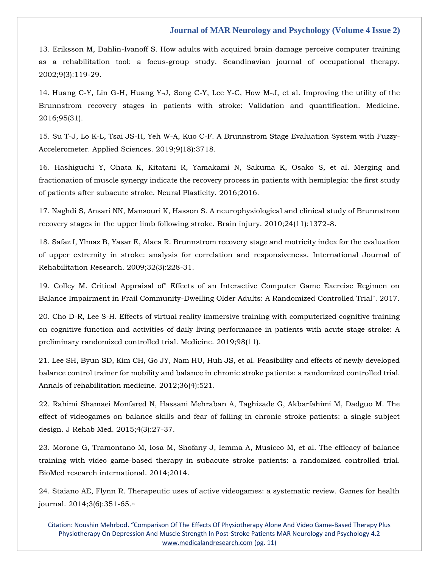[13. Eriksson M, Dahlin-Ivanoff S. How adults with acquired brain damage perceive computer training](https://www.google.com/search?q=How+adults+with+acquired+brain+damage+perceive+computer+training+as+a+rehabilitation+tool%3A+a+focus-group+study&sxsrf=APq-WBtfMiYnEFcQyLzYPlGztNsDqycLZA%3A1643622304227&ei=oK_3YfCWDZmVseMPoLSu0AQ&ved=0ahUKEwjw5tmc2tv1AhWZSmwGHSCaC0oQ4dUDCA4&oq=How+adults+with+acquired+brain+damage+perceive+computer+training+as+a+rehabilitation+tool%3A+a+focus-group+study&gs_lcp=Cgdnd3Mtd2l6EAwyBwgjEOoCECcyBwgjEOoCECcyBwgjEOoCECcyBwgjEOoCECcyBwgjEOoCECcyBwgjEOoCECcyBwgjEOoCECcyBwgjEOoCECcyBwgjEOoCECcyBwgjEOoCECdKBAhBGABKBAhGGABQmAJYmAJg7whoAXACeACAAQCIAQCSAQCYAQCgAQGgAQKwAQrAAQE&sclient=gws-wiz)  [as a rehabilitation tool: a focus-group study. Scandinavian journal of occupational therapy.](https://www.google.com/search?q=How+adults+with+acquired+brain+damage+perceive+computer+training+as+a+rehabilitation+tool%3A+a+focus-group+study&sxsrf=APq-WBtfMiYnEFcQyLzYPlGztNsDqycLZA%3A1643622304227&ei=oK_3YfCWDZmVseMPoLSu0AQ&ved=0ahUKEwjw5tmc2tv1AhWZSmwGHSCaC0oQ4dUDCA4&oq=How+adults+with+acquired+brain+damage+perceive+computer+training+as+a+rehabilitation+tool%3A+a+focus-group+study&gs_lcp=Cgdnd3Mtd2l6EAwyBwgjEOoCECcyBwgjEOoCECcyBwgjEOoCECcyBwgjEOoCECcyBwgjEOoCECcyBwgjEOoCECcyBwgjEOoCECcyBwgjEOoCECcyBwgjEOoCECcyBwgjEOoCECdKBAhBGABKBAhGGABQmAJYmAJg7whoAXACeACAAQCIAQCSAQCYAQCgAQGgAQKwAQrAAQE&sclient=gws-wiz)  [2002;9\(3\):119-29.](https://www.google.com/search?q=How+adults+with+acquired+brain+damage+perceive+computer+training+as+a+rehabilitation+tool%3A+a+focus-group+study&sxsrf=APq-WBtfMiYnEFcQyLzYPlGztNsDqycLZA%3A1643622304227&ei=oK_3YfCWDZmVseMPoLSu0AQ&ved=0ahUKEwjw5tmc2tv1AhWZSmwGHSCaC0oQ4dUDCA4&oq=How+adults+with+acquired+brain+damage+perceive+computer+training+as+a+rehabilitation+tool%3A+a+focus-group+study&gs_lcp=Cgdnd3Mtd2l6EAwyBwgjEOoCECcyBwgjEOoCECcyBwgjEOoCECcyBwgjEOoCECcyBwgjEOoCECcyBwgjEOoCECcyBwgjEOoCECcyBwgjEOoCECcyBwgjEOoCECcyBwgjEOoCECdKBAhBGABKBAhGGABQmAJYmAJg7whoAXACeACAAQCIAQCSAQCYAQCgAQGgAQKwAQrAAQE&sclient=gws-wiz)

14. [Huang C-Y, Lin G-H, Huang Y-J, Song C-Y, Lee Y-C, How M-J,](https://www.google.com/search?q=Improving+the+utility+of+the+Brunnstrom+recovery+stages+in+patients+with+stroke%3A+Validation+and+quantification&sxsrf=APq-WBuvXTt9VogdQ5XCd5Bc4LwqGrvbYw%3A1643622264264&ei=eK_3YeDHD5egseMPk9apiAI&ved=0ahUKEwjg49KJ2tv1AhUXUGwGHRNrCiEQ4dUDCA4&oq=Improving+the+utility+of+the+Brunnstrom+recovery+stages+in+patients+with+stroke%3A+Validation+and+quantification&gs_lcp=Cgdnd3Mtd2l6EAwyBwgjEOoCECcyBwgjEOoCECcyBwgjEOoCECcyBwgjEOoCECcyBwgjEOoCECcyBwgjEOoCECcyBwgjEOoCECcyBwgjEOoCECcyBwgjEOoCECcyBwgjEOoCECdKBAhBGABKBAhGGABQoQhYoQhgkA5oAnAAeACAAQCIAQCSAQCYAQCgAQGgAQKwAQrAAQE&sclient=gws-wiz) et al. Improving the utility of the [Brunnstrom recovery stages in patients with stroke: Validation and quantification. Medicine.](https://www.google.com/search?q=Improving+the+utility+of+the+Brunnstrom+recovery+stages+in+patients+with+stroke%3A+Validation+and+quantification&sxsrf=APq-WBuvXTt9VogdQ5XCd5Bc4LwqGrvbYw%3A1643622264264&ei=eK_3YeDHD5egseMPk9apiAI&ved=0ahUKEwjg49KJ2tv1AhUXUGwGHRNrCiEQ4dUDCA4&oq=Improving+the+utility+of+the+Brunnstrom+recovery+stages+in+patients+with+stroke%3A+Validation+and+quantification&gs_lcp=Cgdnd3Mtd2l6EAwyBwgjEOoCECcyBwgjEOoCECcyBwgjEOoCECcyBwgjEOoCECcyBwgjEOoCECcyBwgjEOoCECcyBwgjEOoCECcyBwgjEOoCECcyBwgjEOoCECcyBwgjEOoCECdKBAhBGABKBAhGGABQoQhYoQhgkA5oAnAAeACAAQCIAQCSAQCYAQCgAQGgAQKwAQrAAQE&sclient=gws-wiz)  [2016;95\(31\).](https://www.google.com/search?q=Improving+the+utility+of+the+Brunnstrom+recovery+stages+in+patients+with+stroke%3A+Validation+and+quantification&sxsrf=APq-WBuvXTt9VogdQ5XCd5Bc4LwqGrvbYw%3A1643622264264&ei=eK_3YeDHD5egseMPk9apiAI&ved=0ahUKEwjg49KJ2tv1AhUXUGwGHRNrCiEQ4dUDCA4&oq=Improving+the+utility+of+the+Brunnstrom+recovery+stages+in+patients+with+stroke%3A+Validation+and+quantification&gs_lcp=Cgdnd3Mtd2l6EAwyBwgjEOoCECcyBwgjEOoCECcyBwgjEOoCECcyBwgjEOoCECcyBwgjEOoCECcyBwgjEOoCECcyBwgjEOoCECcyBwgjEOoCECcyBwgjEOoCECcyBwgjEOoCECdKBAhBGABKBAhGGABQoQhYoQhgkA5oAnAAeACAAQCIAQCSAQCYAQCgAQGgAQKwAQrAAQE&sclient=gws-wiz)

[15. Su T-J, Lo K-L, Tsai JS-H, Yeh W-A, Kuo C-F. A Brunnstrom Stage Evaluation System with Fuzzy-](https://www.google.com/search?q=A+Brunnstrom+Stage+Evaluation+System+with+Fuzzy-Accelerometer&sxsrf=APq-WBtHtxYMRp5OSE0YZPgq-PEYmFcLZQ%3A1643622236058&ei=XK_3YaKAA--fseMPpqedqAY&ved=0ahUKEwiinpn82dv1AhXvT2wGHaZTB2UQ4dUDCA4&oq=A+Brunnstrom+Stage+Evaluation+System+with+Fuzzy-Accelerometer&gs_lcp=Cgdnd3Mtd2l6EAw6BwgjEOoCECdKBAhBGABKBAhGGABQwwdYwwdgomRoAXAAeACAAWmIAWmSAQMwLjGYAQCgAQGgAQKwAQrAAQE&sclient=gws-wiz)[Accelerometer. Applied Sciences. 2019;9\(18\):3718.](https://www.google.com/search?q=A+Brunnstrom+Stage+Evaluation+System+with+Fuzzy-Accelerometer&sxsrf=APq-WBtHtxYMRp5OSE0YZPgq-PEYmFcLZQ%3A1643622236058&ei=XK_3YaKAA--fseMPpqedqAY&ved=0ahUKEwiinpn82dv1AhXvT2wGHaZTB2UQ4dUDCA4&oq=A+Brunnstrom+Stage+Evaluation+System+with+Fuzzy-Accelerometer&gs_lcp=Cgdnd3Mtd2l6EAw6BwgjEOoCECdKBAhBGABKBAhGGABQwwdYwwdgomRoAXAAeACAAWmIAWmSAQMwLjGYAQCgAQGgAQKwAQrAAQE&sclient=gws-wiz)

[16. Hashiguchi Y, Ohata K, Kitatani R, Yamakami N, Sakuma K, Osako S, et al. Merging and](https://www.google.com/search?q=Merging+and+fractionation+of+muscle+synergy+indicate+the+recovery+process+in+patients+with+hemiplegia%3A+the+first+study+of+patients+after+subacute+stroke&sxsrf=APq-WBvnk5z_WgmLL4M3AjsB8C5W00JnAw%3A1643622202147&ei=Oq_3YZSxCIWRseMPu5KOqAw&ved=0ahUKEwiUtoPs2dv1AhWFSGwGHTuJA8UQ4dUDCA4&oq=Merging+and+fractionation+of+muscle+synergy+indicate+the+recovery+process+in+patients+with+hemiplegia%3A+the+first+study+of+patients+after+subacute+stroke&gs_lcp=Cgdnd3Mtd2l6EAwyBwgjEOoCECcyBwgjEOoCECcyBwgjEOoCECcyBwgjEOoCECcyBwgjEOoCECcyBwgjEOoCECcyBwgjEOoCECcyBwgjEOoCECcyBwgjEOoCECcyBwgjEOoCECdKBAhBGABKBAhGGABQvAhYvAhg7wxoAXACeACAAQCIAQCSAQCYAQCgAQGgAQKwAQrAAQE&sclient=gws-wiz)  fractionation [of muscle synergy indicate the recovery process in patients with hemiplegia: the first study](https://www.google.com/search?q=Merging+and+fractionation+of+muscle+synergy+indicate+the+recovery+process+in+patients+with+hemiplegia%3A+the+first+study+of+patients+after+subacute+stroke&sxsrf=APq-WBvnk5z_WgmLL4M3AjsB8C5W00JnAw%3A1643622202147&ei=Oq_3YZSxCIWRseMPu5KOqAw&ved=0ahUKEwiUtoPs2dv1AhWFSGwGHTuJA8UQ4dUDCA4&oq=Merging+and+fractionation+of+muscle+synergy+indicate+the+recovery+process+in+patients+with+hemiplegia%3A+the+first+study+of+patients+after+subacute+stroke&gs_lcp=Cgdnd3Mtd2l6EAwyBwgjEOoCECcyBwgjEOoCECcyBwgjEOoCECcyBwgjEOoCECcyBwgjEOoCECcyBwgjEOoCECcyBwgjEOoCECcyBwgjEOoCECcyBwgjEOoCECcyBwgjEOoCECdKBAhBGABKBAhGGABQvAhYvAhg7wxoAXACeACAAQCIAQCSAQCYAQCgAQGgAQKwAQrAAQE&sclient=gws-wiz)  [of patients after subacute stroke. Neural Plasticity. 2016;2016.](https://www.google.com/search?q=Merging+and+fractionation+of+muscle+synergy+indicate+the+recovery+process+in+patients+with+hemiplegia%3A+the+first+study+of+patients+after+subacute+stroke&sxsrf=APq-WBvnk5z_WgmLL4M3AjsB8C5W00JnAw%3A1643622202147&ei=Oq_3YZSxCIWRseMPu5KOqAw&ved=0ahUKEwiUtoPs2dv1AhWFSGwGHTuJA8UQ4dUDCA4&oq=Merging+and+fractionation+of+muscle+synergy+indicate+the+recovery+process+in+patients+with+hemiplegia%3A+the+first+study+of+patients+after+subacute+stroke&gs_lcp=Cgdnd3Mtd2l6EAwyBwgjEOoCECcyBwgjEOoCECcyBwgjEOoCECcyBwgjEOoCECcyBwgjEOoCECcyBwgjEOoCECcyBwgjEOoCECcyBwgjEOoCECcyBwgjEOoCECcyBwgjEOoCECdKBAhBGABKBAhGGABQvAhYvAhg7wxoAXACeACAAQCIAQCSAQCYAQCgAQGgAQKwAQrAAQE&sclient=gws-wiz)

[17. Naghdi S, Ansari NN, Mansouri K, Hasson S. A neurophysiological and clinical study of Brunnstrom](https://www.google.com/search?q=A+neurophysiological+and+clinical+study+of+Brunnstrom+recovery+stages+in+the+upper+limb+following+stroke&sxsrf=APq-WBvdatcTKJvd_sYd3jsdP5j4j24kkg%3A1643622171034&ei=G6_3YcG2AcGcseMPiOiL4A4&ved=0ahUKEwiBsJjd2dv1AhVBTmwGHQj0AuwQ4dUDCA4&oq=A+neurophysiological+and+clinical+study+of+Brunnstrom+recovery+stages+in+the+upper+limb+following+stroke&gs_lcp=Cgdnd3Mtd2l6EAwyBwgjEOoCECcyBwgjEOoCECcyBwgjEOoCECcyBwgjEOoCECcyBwgjEOoCECcyBwgjEOoCECcyBwgjEOoCECcyBwgjEOoCECcyBwgjEOoCECcyBwgjEOoCECdKBAhBGABKBAhGGABQzAhYzAhgkw5oAXAAeACAAQCIAQCSAQCYAQCgAQGgAQKwAQrAAQE&sclient=gws-wiz)  [recovery stages in the upper limb following stroke. Brain injury. 2010;24\(11\):1372-8.](https://www.google.com/search?q=A+neurophysiological+and+clinical+study+of+Brunnstrom+recovery+stages+in+the+upper+limb+following+stroke&sxsrf=APq-WBvdatcTKJvd_sYd3jsdP5j4j24kkg%3A1643622171034&ei=G6_3YcG2AcGcseMPiOiL4A4&ved=0ahUKEwiBsJjd2dv1AhVBTmwGHQj0AuwQ4dUDCA4&oq=A+neurophysiological+and+clinical+study+of+Brunnstrom+recovery+stages+in+the+upper+limb+following+stroke&gs_lcp=Cgdnd3Mtd2l6EAwyBwgjEOoCECcyBwgjEOoCECcyBwgjEOoCECcyBwgjEOoCECcyBwgjEOoCECcyBwgjEOoCECcyBwgjEOoCECcyBwgjEOoCECcyBwgjEOoCECcyBwgjEOoCECdKBAhBGABKBAhGGABQzAhYzAhgkw5oAXAAeACAAQCIAQCSAQCYAQCgAQGgAQKwAQrAAQE&sclient=gws-wiz)

[18. Safaz I, Ylmaz B, Yasar E, Alaca R. Brunnstrom recovery stage and motricity index for the evaluation](https://www.google.com/search?q=Brunnstrom+recovery+stage+and+motricity+index+for+the+evaluation+of+upper+extremity+in+stroke%3A+analysis+for+correlation+and+responsiveness&sxsrf=APq-WBvi1MHU_2u7xx_0BAmK7FVNlFf0xg%3A1643621975570&ei=V673YdikIpCRseMPntKX0A0&ved=0ahUKEwiYrP7_2Nv1AhWQSGwGHR7pBdoQ4dUDCA4&oq=Brunnstrom+recovery+stage+and+motricity+index+for+the+evaluation+of+upper+extremity+in+stroke%3A+analysis+for+correlation+and+responsiveness&gs_lcp=Cgdnd3Mtd2l6EAwyBwgjEOoCECcyBwgjEOoCECcyBwgjEOoCECcyBwgjEOoCECcyBwgjEOoCECcyBwgjEOoCECcyBwgjEOoCECcyBwgjEOoCECcyBwgjEOoCECcyBwgjEOoCECdKBAhBGABKBAhGGABQ8gRY8gRgrg9oAXAAeACAAQCIAQCSAQCYAQCgAQGgAQKwAQrAAQE&sclient=gws-wiz)  [of upper extremity in stroke: analysis for correlation and responsiveness. International Journal of](https://www.google.com/search?q=Brunnstrom+recovery+stage+and+motricity+index+for+the+evaluation+of+upper+extremity+in+stroke%3A+analysis+for+correlation+and+responsiveness&sxsrf=APq-WBvi1MHU_2u7xx_0BAmK7FVNlFf0xg%3A1643621975570&ei=V673YdikIpCRseMPntKX0A0&ved=0ahUKEwiYrP7_2Nv1AhWQSGwGHR7pBdoQ4dUDCA4&oq=Brunnstrom+recovery+stage+and+motricity+index+for+the+evaluation+of+upper+extremity+in+stroke%3A+analysis+for+correlation+and+responsiveness&gs_lcp=Cgdnd3Mtd2l6EAwyBwgjEOoCECcyBwgjEOoCECcyBwgjEOoCECcyBwgjEOoCECcyBwgjEOoCECcyBwgjEOoCECcyBwgjEOoCECcyBwgjEOoCECcyBwgjEOoCECcyBwgjEOoCECdKBAhBGABKBAhGGABQ8gRY8gRgrg9oAXAAeACAAQCIAQCSAQCYAQCgAQGgAQKwAQrAAQE&sclient=gws-wiz)  [Rehabilitation Research. 2009;32\(3\):228-31.](https://www.google.com/search?q=Brunnstrom+recovery+stage+and+motricity+index+for+the+evaluation+of+upper+extremity+in+stroke%3A+analysis+for+correlation+and+responsiveness&sxsrf=APq-WBvi1MHU_2u7xx_0BAmK7FVNlFf0xg%3A1643621975570&ei=V673YdikIpCRseMPntKX0A0&ved=0ahUKEwiYrP7_2Nv1AhWQSGwGHR7pBdoQ4dUDCA4&oq=Brunnstrom+recovery+stage+and+motricity+index+for+the+evaluation+of+upper+extremity+in+stroke%3A+analysis+for+correlation+and+responsiveness&gs_lcp=Cgdnd3Mtd2l6EAwyBwgjEOoCECcyBwgjEOoCECcyBwgjEOoCECcyBwgjEOoCECcyBwgjEOoCECcyBwgjEOoCECcyBwgjEOoCECcyBwgjEOoCECcyBwgjEOoCECcyBwgjEOoCECdKBAhBGABKBAhGGABQ8gRY8gRgrg9oAXAAeACAAQCIAQCSAQCYAQCgAQGgAQKwAQrAAQE&sclient=gws-wiz)

[19. Colley M. Critical Appraisal of" Effects of an Interactive Computer Game Exercise Regimen on](https://www.google.com/search?q=Critical+Appraisal+of%22+Effects+of+an+Interactive+Computer+Game+Exercise+Regimen+on+Balance+Impairment+in+Frail+Community-Dwelling+Older+Adults%3A+A+Randomized+Controlled+Trial&sxsrf=APq-WBuwu8lKaXsJJOw7cDAxiiiKUh-K1g%3A1643621801608&ei=qa33YfKsJMqgseMPq5CWqAM&ved=0ahUKEwiypYSt2Nv1AhVKUGwGHSuIBTUQ4dUDCA4&oq=Critical+Appraisal+of%22+Effects+of+an+Interactive+Computer+Game+Exercise+Regimen+on+Balance+Impairment+in+Frail+Community-Dwelling+Older+Adults%3A+A+Randomized+Controlled+Trial&gs_lcp=Cgdnd3Mtd2l6EAwyBwgjEOoCECcyBwgjEOoCECcyBwgjEOoCECcyBwgjEOoCECcyBwgjEOoCECcyBwgjEOoCECcyBwgjEOoCECcyBwgjEOoCECcyBwgjEOoCECcyBwgjEOoCECdKBAhBGABKBAhGGABQ7whY7whguw1oAXAAeACAAQCIAQCSAQCYAQCgAQGgAQKwAQrAAQE&sclient=gws-wiz)  [Balance Impairment in Frail Community-Dwelling Older Adults: A Randomized Controlled Trial". 2017.](https://www.google.com/search?q=Critical+Appraisal+of%22+Effects+of+an+Interactive+Computer+Game+Exercise+Regimen+on+Balance+Impairment+in+Frail+Community-Dwelling+Older+Adults%3A+A+Randomized+Controlled+Trial&sxsrf=APq-WBuwu8lKaXsJJOw7cDAxiiiKUh-K1g%3A1643621801608&ei=qa33YfKsJMqgseMPq5CWqAM&ved=0ahUKEwiypYSt2Nv1AhVKUGwGHSuIBTUQ4dUDCA4&oq=Critical+Appraisal+of%22+Effects+of+an+Interactive+Computer+Game+Exercise+Regimen+on+Balance+Impairment+in+Frail+Community-Dwelling+Older+Adults%3A+A+Randomized+Controlled+Trial&gs_lcp=Cgdnd3Mtd2l6EAwyBwgjEOoCECcyBwgjEOoCECcyBwgjEOoCECcyBwgjEOoCECcyBwgjEOoCECcyBwgjEOoCECcyBwgjEOoCECcyBwgjEOoCECcyBwgjEOoCECcyBwgjEOoCECdKBAhBGABKBAhGGABQ7whY7whguw1oAXAAeACAAQCIAQCSAQCYAQCgAQGgAQKwAQrAAQE&sclient=gws-wiz)

[20. Cho D-R, Lee S-H. Effects of virtual reality immersive training with computerized cognitive training](https://www.google.com/search?q=Effects+of+virtual+reality+immersive+training+with+computerized+cognitive+training+on+cognitive+function+and+activities+of+daily+living+performance+in+patients+with+acute+stage+stroke%3A+A+preliminary+randomized+controlled+trial&sxsrf=APq-WBt_VxEDRHagYhnqX2wTgwz59sKcdQ%3A1643621780172&ei=lK33YfLtCf6hseMPtoWOyAY&ved=0ahUKEwjyh-ii2Nv1AhX-UGwGHbaCA2kQ4dUDCA4&oq=Effects+of+virtual+reality+immersive+training+with+computerized+cognitive+training+on+cognitive+function+and+activities+of+daily+living+performance+in+patients+with+acute+stage+stroke%3A+A+preliminary+randomized+controlled+trial&gs_lcp=Cgdnd3Mtd2l6EAwyBwgjEOoCECcyBwgjEOoCECcyBwgjEOoCECcyBwgjEOoCECcyBwgjEOoCECcyBwgjEOoCECcyBwgjEOoCECcyBwgjEOoCECcyBwgjEOoCECcyBwgjEOoCECdKBAhBGABKBAhGGABQ3wRY3wRg4gloAXAAeACAAQCIAQCSAQCYAQCgAQGgAQKwAQrAAQE&sclient=gws-wiz)  [on cognitive function and activities of daily living performance in patients with acute stage stroke: A](https://www.google.com/search?q=Effects+of+virtual+reality+immersive+training+with+computerized+cognitive+training+on+cognitive+function+and+activities+of+daily+living+performance+in+patients+with+acute+stage+stroke%3A+A+preliminary+randomized+controlled+trial&sxsrf=APq-WBt_VxEDRHagYhnqX2wTgwz59sKcdQ%3A1643621780172&ei=lK33YfLtCf6hseMPtoWOyAY&ved=0ahUKEwjyh-ii2Nv1AhX-UGwGHbaCA2kQ4dUDCA4&oq=Effects+of+virtual+reality+immersive+training+with+computerized+cognitive+training+on+cognitive+function+and+activities+of+daily+living+performance+in+patients+with+acute+stage+stroke%3A+A+preliminary+randomized+controlled+trial&gs_lcp=Cgdnd3Mtd2l6EAwyBwgjEOoCECcyBwgjEOoCECcyBwgjEOoCECcyBwgjEOoCECcyBwgjEOoCECcyBwgjEOoCECcyBwgjEOoCECcyBwgjEOoCECcyBwgjEOoCECcyBwgjEOoCECdKBAhBGABKBAhGGABQ3wRY3wRg4gloAXAAeACAAQCIAQCSAQCYAQCgAQGgAQKwAQrAAQE&sclient=gws-wiz)  [preliminary randomized controlled trial. Medicine. 2019;98\(11\).](https://www.google.com/search?q=Effects+of+virtual+reality+immersive+training+with+computerized+cognitive+training+on+cognitive+function+and+activities+of+daily+living+performance+in+patients+with+acute+stage+stroke%3A+A+preliminary+randomized+controlled+trial&sxsrf=APq-WBt_VxEDRHagYhnqX2wTgwz59sKcdQ%3A1643621780172&ei=lK33YfLtCf6hseMPtoWOyAY&ved=0ahUKEwjyh-ii2Nv1AhX-UGwGHbaCA2kQ4dUDCA4&oq=Effects+of+virtual+reality+immersive+training+with+computerized+cognitive+training+on+cognitive+function+and+activities+of+daily+living+performance+in+patients+with+acute+stage+stroke%3A+A+preliminary+randomized+controlled+trial&gs_lcp=Cgdnd3Mtd2l6EAwyBwgjEOoCECcyBwgjEOoCECcyBwgjEOoCECcyBwgjEOoCECcyBwgjEOoCECcyBwgjEOoCECcyBwgjEOoCECcyBwgjEOoCECcyBwgjEOoCECcyBwgjEOoCECdKBAhBGABKBAhGGABQ3wRY3wRg4gloAXAAeACAAQCIAQCSAQCYAQCgAQGgAQKwAQrAAQE&sclient=gws-wiz)

[21. Lee SH, Byun SD, Kim CH, Go JY, Nam HU, Huh JS, et al. Feasibility and effects of newly developed](https://www.google.com/search?q=Feasibility+and+effects+of+newly+developed+balance+control+trainer+for+mobility+and+balance+in+chronic+stroke+patients%3A+a+randomized+controlled+trial&sxsrf=APq-WBvrKS_w2x8EV4aD99Y17Yuy2U4Hmg%3A1643621736355&ei=aK33YdaFFceUseMPxP68mAY&ved=0ahUKEwjW2fWN2Nv1AhVHSmwGHUQ_D2MQ4dUDCA4&oq=Feasibility+and+effects+of+newly+developed+balance+control+trainer+for+mobility+and+balance+in+chronic+stroke+patients%3A+a+randomized+controlled+trial&gs_lcp=Cgdnd3Mtd2l6EAwyBwgjEOoCECcyBwgjEOoCECcyBwgjEOoCECcyBwgjEOoCECcyBwgjEOoCECcyBwgjEOoCECcyBwgjEOoCECcyBwgjEOoCECcyBwgjEOoCECcyBwgjEOoCECdKBAhBGABKBAhGGABQ5ghY5ghggQ1oAXACeACAAQCIAQCSAQCYAQCgAQGgAQKwAQrAAQE&sclient=gws-wiz)  [balance control trainer for mobility and balance in chronic stroke patients: a randomized controlled trial.](https://www.google.com/search?q=Feasibility+and+effects+of+newly+developed+balance+control+trainer+for+mobility+and+balance+in+chronic+stroke+patients%3A+a+randomized+controlled+trial&sxsrf=APq-WBvrKS_w2x8EV4aD99Y17Yuy2U4Hmg%3A1643621736355&ei=aK33YdaFFceUseMPxP68mAY&ved=0ahUKEwjW2fWN2Nv1AhVHSmwGHUQ_D2MQ4dUDCA4&oq=Feasibility+and+effects+of+newly+developed+balance+control+trainer+for+mobility+and+balance+in+chronic+stroke+patients%3A+a+randomized+controlled+trial&gs_lcp=Cgdnd3Mtd2l6EAwyBwgjEOoCECcyBwgjEOoCECcyBwgjEOoCECcyBwgjEOoCECcyBwgjEOoCECcyBwgjEOoCECcyBwgjEOoCECcyBwgjEOoCECcyBwgjEOoCECcyBwgjEOoCECdKBAhBGABKBAhGGABQ5ghY5ghggQ1oAXACeACAAQCIAQCSAQCYAQCgAQGgAQKwAQrAAQE&sclient=gws-wiz)  [Annals of rehabilitation medicine. 2012;36\(4\):521.](https://www.google.com/search?q=Feasibility+and+effects+of+newly+developed+balance+control+trainer+for+mobility+and+balance+in+chronic+stroke+patients%3A+a+randomized+controlled+trial&sxsrf=APq-WBvrKS_w2x8EV4aD99Y17Yuy2U4Hmg%3A1643621736355&ei=aK33YdaFFceUseMPxP68mAY&ved=0ahUKEwjW2fWN2Nv1AhVHSmwGHUQ_D2MQ4dUDCA4&oq=Feasibility+and+effects+of+newly+developed+balance+control+trainer+for+mobility+and+balance+in+chronic+stroke+patients%3A+a+randomized+controlled+trial&gs_lcp=Cgdnd3Mtd2l6EAwyBwgjEOoCECcyBwgjEOoCECcyBwgjEOoCECcyBwgjEOoCECcyBwgjEOoCECcyBwgjEOoCECcyBwgjEOoCECcyBwgjEOoCECcyBwgjEOoCECcyBwgjEOoCECdKBAhBGABKBAhGGABQ5ghY5ghggQ1oAXACeACAAQCIAQCSAQCYAQCgAQGgAQKwAQrAAQE&sclient=gws-wiz)

[22. Rahimi Shamaei Monfared N, Hassani Mehraban A, Taghizade G, Akbarfahimi M, Dadguo M. The](https://www.google.com/search?q=The+effect+of+videogames+on+balance+skills+and+fear+of+falling+in+chronic+stroke+patients%3A+a+single+subject+design.&sxsrf=APq-WBusP0D4YOEoF0vETuaQNELFdbqCpA%3A1643621708832&ei=TK33YaWaMuCcseMPn-W36A4&ved=0ahUKEwil8OWA2Nv1AhVgTmwGHZ_yDe0Q4dUDCA4&oq=The+effect+of+videogames+on+balance+skills+and+fear+of+falling+in+chronic+stroke+patients%3A+a+single+subject+design.&gs_lcp=Cgdnd3Mtd2l6EAwyBwgjEOoCECcyBwgjEOoCECcyBwgjEOoCECcyBwgjEOoCECcyBwgjEOoCECcyBwgjEOoCECcyBwgjEOoCECcyBwgjEOoCECcyBwgjEOoCECcyDQguEMcBENEDEOoCECdKBAhBGABKBAhGGABQ0whY0whgixloAXAAeACAAQCIAQCSAQCYAQCgAQGgAQKwAQrAAQE&sclient=gws-wiz)  [effect of videogames on balance skills and fear of falling in chronic stroke patients: a single subject](https://www.google.com/search?q=The+effect+of+videogames+on+balance+skills+and+fear+of+falling+in+chronic+stroke+patients%3A+a+single+subject+design.&sxsrf=APq-WBusP0D4YOEoF0vETuaQNELFdbqCpA%3A1643621708832&ei=TK33YaWaMuCcseMPn-W36A4&ved=0ahUKEwil8OWA2Nv1AhVgTmwGHZ_yDe0Q4dUDCA4&oq=The+effect+of+videogames+on+balance+skills+and+fear+of+falling+in+chronic+stroke+patients%3A+a+single+subject+design.&gs_lcp=Cgdnd3Mtd2l6EAwyBwgjEOoCECcyBwgjEOoCECcyBwgjEOoCECcyBwgjEOoCECcyBwgjEOoCECcyBwgjEOoCECcyBwgjEOoCECcyBwgjEOoCECcyBwgjEOoCECcyDQguEMcBENEDEOoCECdKBAhBGABKBAhGGABQ0whY0whgixloAXAAeACAAQCIAQCSAQCYAQCgAQGgAQKwAQrAAQE&sclient=gws-wiz)  [design. J Rehab Med. 2015;4\(3\):27-37.](https://www.google.com/search?q=The+effect+of+videogames+on+balance+skills+and+fear+of+falling+in+chronic+stroke+patients%3A+a+single+subject+design.&sxsrf=APq-WBusP0D4YOEoF0vETuaQNELFdbqCpA%3A1643621708832&ei=TK33YaWaMuCcseMPn-W36A4&ved=0ahUKEwil8OWA2Nv1AhVgTmwGHZ_yDe0Q4dUDCA4&oq=The+effect+of+videogames+on+balance+skills+and+fear+of+falling+in+chronic+stroke+patients%3A+a+single+subject+design.&gs_lcp=Cgdnd3Mtd2l6EAwyBwgjEOoCECcyBwgjEOoCECcyBwgjEOoCECcyBwgjEOoCECcyBwgjEOoCECcyBwgjEOoCECcyBwgjEOoCECcyBwgjEOoCECcyBwgjEOoCECcyDQguEMcBENEDEOoCECdKBAhBGABKBAhGGABQ0whY0whgixloAXAAeACAAQCIAQCSAQCYAQCgAQGgAQKwAQrAAQE&sclient=gws-wiz)

[23. Morone G, Tramontano M, Iosa M, Shofany J, Iemma A, Musicco M, et al. The efficacy of balance](https://www.google.com/search?q=The+efficacy+of+balance+training+with+video+game-based+therapy+in+subacute+stroke+patients%3A+a+randomized+controlled+trial.&sxsrf=APq-WBveaNsA_np9loVDdQKeQPmmQTBfOQ%3A1643621690281&ei=Oq33YZTEEMWXseMPrPGMkAM&ved=0ahUKEwiUyfn319v1AhXFS2wGHaw4AzIQ4dUDCA4&oq=The+efficacy+of+balance+training+with+video+game-based+therapy+in+subacute+stroke+patients%3A+a+randomized+controlled+trial.&gs_lcp=Cgdnd3Mtd2l6EAwyBwgjEOoCECcyBwgjEOoCECcyBwgjEOoCECcyBwgjEOoCECcyBwgjEOoCECcyBwgjEOoCECcyBwgjEOoCECcyBwgjEOoCECcyDQguEMcBENEDEOoCECcyBwgjEOoCECdKBAhBGABKBAhGGABQ4gdY4gdggwxoAXACeACAAQCIAQCSAQCYAQCgAQGgAQKwAQrAAQE&sclient=gws-wiz)  [training with video game-based therapy in subacute stroke patients: a randomized controlled trial.](https://www.google.com/search?q=The+efficacy+of+balance+training+with+video+game-based+therapy+in+subacute+stroke+patients%3A+a+randomized+controlled+trial.&sxsrf=APq-WBveaNsA_np9loVDdQKeQPmmQTBfOQ%3A1643621690281&ei=Oq33YZTEEMWXseMPrPGMkAM&ved=0ahUKEwiUyfn319v1AhXFS2wGHaw4AzIQ4dUDCA4&oq=The+efficacy+of+balance+training+with+video+game-based+therapy+in+subacute+stroke+patients%3A+a+randomized+controlled+trial.&gs_lcp=Cgdnd3Mtd2l6EAwyBwgjEOoCECcyBwgjEOoCECcyBwgjEOoCECcyBwgjEOoCECcyBwgjEOoCECcyBwgjEOoCECcyBwgjEOoCECcyBwgjEOoCECcyDQguEMcBENEDEOoCECcyBwgjEOoCECdKBAhBGABKBAhGGABQ4gdY4gdggwxoAXACeACAAQCIAQCSAQCYAQCgAQGgAQKwAQrAAQE&sclient=gws-wiz)  [BioMed research international. 2014;2014.](https://www.google.com/search?q=The+efficacy+of+balance+training+with+video+game-based+therapy+in+subacute+stroke+patients%3A+a+randomized+controlled+trial.&sxsrf=APq-WBveaNsA_np9loVDdQKeQPmmQTBfOQ%3A1643621690281&ei=Oq33YZTEEMWXseMPrPGMkAM&ved=0ahUKEwiUyfn319v1AhXFS2wGHaw4AzIQ4dUDCA4&oq=The+efficacy+of+balance+training+with+video+game-based+therapy+in+subacute+stroke+patients%3A+a+randomized+controlled+trial.&gs_lcp=Cgdnd3Mtd2l6EAwyBwgjEOoCECcyBwgjEOoCECcyBwgjEOoCECcyBwgjEOoCECcyBwgjEOoCECcyBwgjEOoCECcyBwgjEOoCECcyBwgjEOoCECcyDQguEMcBENEDEOoCECcyBwgjEOoCECdKBAhBGABKBAhGGABQ4gdY4gdggwxoAXACeACAAQCIAQCSAQCYAQCgAQGgAQKwAQrAAQE&sclient=gws-wiz)

[24. Staiano AE, Flynn R. Therapeutic uses of active videogames: a systematic review. Games for health](https://www.google.com/search?q=Therapeutic+uses+of+active+videogames%3A+a+systematic+review&sxsrf=APq-WBubPgDz4T-9HmNbmOk2bmLB1JNxPQ%3A1643621669359&ei=Ja33YZSeFfegseMP9t6ryAM&ved=0ahUKEwjUxPzt19v1AhV3UGwGHXbvCjkQ4dUDCA4&oq=Therapeutic+uses+of+active+videogames%3A+a+systematic+review&gs_lcp=Cgdnd3Mtd2l6EAwyBQghEKABOgcIIxDqAhAnOg0ILhDHARDRAxDqAhAnSgQIQRgASgQIRhgAULoDWLoDYPUIaAFwAHgAgAGmAYgBpgGSAQMwLjGYAQCgAQGgAQKwAQrAAQE&sclient=gws-wiz)  [journal. 2014;3\(6\):351-65.~](https://www.google.com/search?q=Therapeutic+uses+of+active+videogames%3A+a+systematic+review&sxsrf=APq-WBubPgDz4T-9HmNbmOk2bmLB1JNxPQ%3A1643621669359&ei=Ja33YZSeFfegseMP9t6ryAM&ved=0ahUKEwjUxPzt19v1AhV3UGwGHXbvCjkQ4dUDCA4&oq=Therapeutic+uses+of+active+videogames%3A+a+systematic+review&gs_lcp=Cgdnd3Mtd2l6EAwyBQghEKABOgcIIxDqAhAnOg0ILhDHARDRAxDqAhAnSgQIQRgASgQIRhgAULoDWLoDYPUIaAFwAHgAgAGmAYgBpgGSAQMwLjGYAQCgAQGgAQKwAQrAAQE&sclient=gws-wiz)

Citation: Noushin Mehrbod. "Comparison Of The Effects Of Physiotherapy Alone And Video Game-Based Therapy Plus Physiotherapy On Depression And Muscle Strength In Post-Stroke Patients MAR Neurology and Psychology 4.2 [www.medicalandresearch.com](http://www.medicalandresearch.com/) (pg. 11)